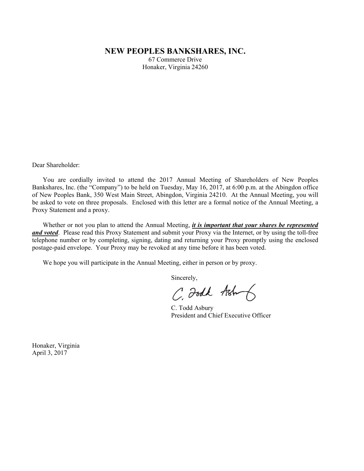# **NEW PEOPLES BANKSHARES, INC.**

67 Commerce Drive Honaker, Virginia 24260

Dear Shareholder:

 You are cordially invited to attend the 2017 Annual Meeting of Shareholders of New Peoples Bankshares, Inc. (the "Company") to be held on Tuesday, May 16, 2017, at 6:00 p.m. at the Abingdon office of New Peoples Bank, 350 West Main Street, Abingdon, Virginia 24210. At the Annual Meeting, you will be asked to vote on three proposals. Enclosed with this letter are a formal notice of the Annual Meeting, a Proxy Statement and a proxy.

 Whether or not you plan to attend the Annual Meeting, *it is important that your shares be represented and voted*. Please read this Proxy Statement and submit your Proxy via the Internet, or by using the toll-free telephone number or by completing, signing, dating and returning your Proxy promptly using the enclosed postage-paid envelope. Your Proxy may be revoked at any time before it has been voted.

We hope you will participate in the Annual Meeting, either in person or by proxy.

Sincerely,

C. Foodk Ash

 C. Todd Asbury President and Chief Executive Officer

Honaker, Virginia April 3, 2017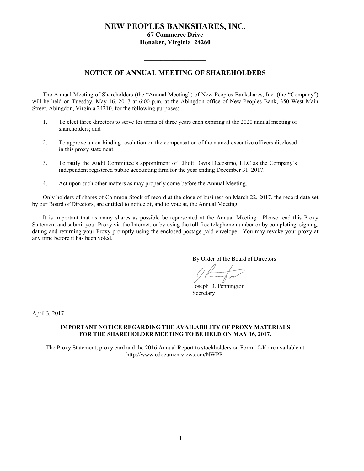# **NEW PEOPLES BANKSHARES, INC. 67 Commerce Drive Honaker, Virginia 24260**

# **NOTICE OF ANNUAL MEETING OF SHAREHOLDERS \_\_\_\_\_\_\_\_\_\_\_\_\_\_\_\_\_\_\_**

**\_\_\_\_\_\_\_\_\_\_\_\_\_\_\_\_\_\_\_** 

 The Annual Meeting of Shareholders (the "Annual Meeting") of New Peoples Bankshares, Inc. (the "Company") will be held on Tuesday, May 16, 2017 at 6:00 p.m. at the Abingdon office of New Peoples Bank, 350 West Main Street, Abingdon, Virginia 24210, for the following purposes:

- 1. To elect three directors to serve for terms of three years each expiring at the 2020 annual meeting of shareholders; and
- 2. To approve a non-binding resolution on the compensation of the named executive officers disclosed in this proxy statement.
- 3. To ratify the Audit Committee's appointment of Elliott Davis Decosimo, LLC as the Company's independent registered public accounting firm for the year ending December 31, 2017.
- 4. Act upon such other matters as may properly come before the Annual Meeting.

 Only holders of shares of Common Stock of record at the close of business on March 22, 2017, the record date set by our Board of Directors, are entitled to notice of, and to vote at, the Annual Meeting.

It is important that as many shares as possible be represented at the Annual Meeting. Please read this Proxy Statement and submit your Proxy via the Internet, or by using the toll-free telephone number or by completing, signing, dating and returning your Proxy promptly using the enclosed postage-paid envelope. You may revoke your proxy at any time before it has been voted.

By Order of the Board of Directors

 Joseph D. Pennington **Secretary** 

April 3, 2017

# **IMPORTANT NOTICE REGARDING THE AVAILABILITY OF PROXY MATERIALS FOR THE SHAREHOLDER MEETING TO BE HELD ON MAY 16, 2017.**

The Proxy Statement, proxy card and the 2016 Annual Report to stockholders on Form 10-K are available at http://www.edocumentview.com/NWPP.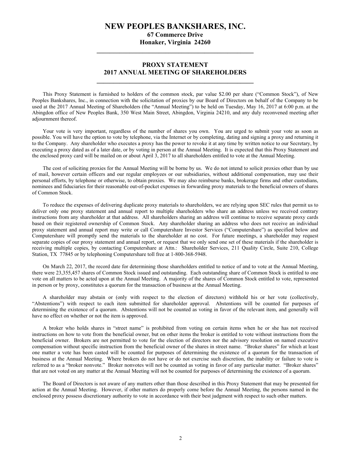# **NEW PEOPLES BANKSHARES, INC.**

**67 Commerce Drive Honaker, Virginia 24260 \_\_\_\_\_\_\_\_\_\_\_\_\_\_\_\_\_\_\_\_\_\_\_\_\_\_\_\_\_\_\_\_\_\_\_\_\_\_\_\_\_\_\_\_\_\_\_\_** 

# **PROXY STATEMENT 2017 ANNUAL MEETING OF SHAREHOLDERS \_\_\_\_\_\_\_\_\_\_\_\_\_\_\_\_\_\_\_\_\_\_\_\_\_\_\_\_\_\_\_\_\_\_\_\_\_\_\_\_\_\_\_\_\_\_\_\_**

This Proxy Statement is furnished to holders of the common stock, par value \$2.00 per share ("Common Stock"), of New Peoples Bankshares, Inc., in connection with the solicitation of proxies by our Board of Directors on behalf of the Company to be used at the 2017 Annual Meeting of Shareholders (the "Annual Meeting") to be held on Tuesday, May 16, 2017 at 6:00 p.m. at the Abingdon office of New Peoples Bank, 350 West Main Street, Abingdon, Virginia 24210, and any duly reconvened meeting after adjournment thereof.

Your vote is very important, regardless of the number of shares you own. You are urged to submit your vote as soon as possible. You will have the option to vote by telephone, via the Internet or by completing, dating and signing a proxy and returning it to the Company. Any shareholder who executes a proxy has the power to revoke it at any time by written notice to our Secretary, by executing a proxy dated as of a later date, or by voting in person at the Annual Meeting. It is expected that this Proxy Statement and the enclosed proxy card will be mailed on or about April 3, 2017 to all shareholders entitled to vote at the Annual Meeting.

 The cost of soliciting proxies for the Annual Meeting will be borne by us. We do not intend to solicit proxies other than by use of mail, however certain officers and our regular employees or our subsidiaries, without additional compensation, may use their personal efforts, by telephone or otherwise, to obtain proxies. We may also reimburse banks, brokerage firms and other custodians, nominees and fiduciaries for their reasonable out-of-pocket expenses in forwarding proxy materials to the beneficial owners of shares of Common Stock.

To reduce the expenses of delivering duplicate proxy materials to shareholders, we are relying upon SEC rules that permit us to deliver only one proxy statement and annual report to multiple shareholders who share an address unless we received contrary instructions from any shareholder at that address. All shareholders sharing an address will continue to receive separate proxy cards based on their registered ownership of Common Stock. Any shareholder sharing an address who does not receive an individual proxy statement and annual report may write or call Computershare Investor Services ("Computershare") as specified below and Computershare will promptly send the materials to the shareholder at no cost. For future meetings, a shareholder may request separate copies of our proxy statement and annual report, or request that we only send one set of these materials if the shareholder is receiving multiple copies, by contacting Computershare at Attn.: Shareholder Services, 211 Quality Circle, Suite 210, College Station, TX 77845 or by telephoning Computershare toll free at 1-800-368-5948.

 On March 22, 2017, the record date for determining those shareholders entitled to notice of and to vote at the Annual Meeting, there were 23,355,457 shares of Common Stock issued and outstanding. Each outstanding share of Common Stock is entitled to one vote on all matters to be acted upon at the Annual Meeting. A majority of the shares of Common Stock entitled to vote, represented in person or by proxy, constitutes a quorum for the transaction of business at the Annual Meeting.

 A shareholder may abstain or (only with respect to the election of directors) withhold his or her vote (collectively, "Abstentions") with respect to each item submitted for shareholder approval. Abstentions will be counted for purposes of determining the existence of a quorum. Abstentions will not be counted as voting in favor of the relevant item, and generally will have no effect on whether or not the item is approved.

 A broker who holds shares in "street name" is prohibited from voting on certain items when he or she has not received instructions on how to vote from the beneficial owner, but on other items the broker is entitled to vote without instructions from the beneficial owner. Brokers are not permitted to vote for the election of directors nor the advisory resolution on named executive compensation without specific instruction from the beneficial owner of the shares in street name. "Broker shares" for which at least one matter a vote has been casted will be counted for purposes of determining the existence of a quorum for the transaction of business at the Annual Meeting. Where brokers do not have or do not exercise such discretion, the inability or failure to vote is referred to as a "broker nonvote." Broker nonvotes will not be counted as voting in favor of any particular matter. "Broker shares" that are not voted on any matter at the Annual Meeting will not be counted for purposes of determining the existence of a quorum.

 The Board of Directors is not aware of any matters other than those described in this Proxy Statement that may be presented for action at the Annual Meeting. However, if other matters do properly come before the Annual Meeting, the persons named in the enclosed proxy possess discretionary authority to vote in accordance with their best judgment with respect to such other matters.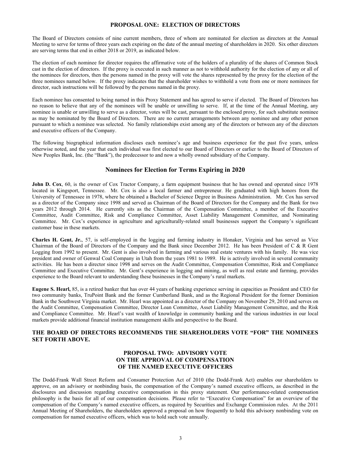# **PROPOSAL ONE: ELECTION OF DIRECTORS**

The Board of Directors consists of nine current members, three of whom are nominated for election as directors at the Annual Meeting to serve for terms of three years each expiring on the date of the annual meeting of shareholders in 2020. Six other directors are serving terms that end in either 2018 or 2019, as indicated below.

The election of each nominee for director requires the affirmative vote of the holders of a plurality of the shares of Common Stock cast in the election of directors. If the proxy is executed in such manner as not to withhold authority for the election of any or all of the nominees for directors, then the persons named in the proxy will vote the shares represented by the proxy for the election of the three nominees named below. If the proxy indicates that the shareholder wishes to withhold a vote from one or more nominees for director, such instructions will be followed by the persons named in the proxy.

Each nominee has consented to being named in this Proxy Statement and has agreed to serve if elected. The Board of Directors has no reason to believe that any of the nominees will be unable or unwilling to serve. If, at the time of the Annual Meeting, any nominee is unable or unwilling to serve as a director, votes will be cast, pursuant to the enclosed proxy, for such substitute nominee as may be nominated by the Board of Directors. There are no current arrangements between any nominee and any other person pursuant to which a nominee was selected. No family relationships exist among any of the directors or between any of the directors and executive officers of the Company.

The following biographical information discloses each nominee's age and business experience for the past five years, unless otherwise noted, and the year that each individual was first elected to our Board of Directors or earlier to the Board of Directors of New Peoples Bank, Inc. (the "Bank"), the predecessor to and now a wholly owned subsidiary of the Company.

# **Nominees for Election for Terms Expiring in 2020**

**John D. Cox**, 60, is the owner of Cox Tractor Company, a farm equipment business that he has owned and operated since 1978 located in Kingsport, Tennessee. Mr. Cox is also a local farmer and entrepreneur. He graduated with high honors from the University of Tennessee in 1978, where he obtained a Bachelor of Science Degree in Business Administration. Mr. Cox has served as a director of the Company since 1998 and served as Chairman of the Board of Directors for the Company and the Bank for two years 2012 through 2014. He currently sits as the Chairman of the Compensation Committee, a member of the Executive Committee, Audit Committee, Risk and Compliance Committee, Asset Liability Management Committee, and Nominating Committee. Mr. Cox's experience in agriculture and agriculturally-related small businesses support the Company's significant customer base in these markets.

**Charles H. Gent, Jr.**, 57, is self-employed in the logging and farming industry in Honaker, Virginia and has served as Vice Chairman of the Board of Directors of the Company and the Bank since December 2012. He has been President of C & R Gent Logging from 1992 to present. Mr. Gent is also involved in farming and various real estate ventures with his family. He was vice president and owner of Genwal Coal Company in Utah from the years 1981 to 1989. He is actively involved in several community activities. He has been a director since 1998 and serves on the Audit Committee, Compensation Committee, Risk and Compliance Committee and Executive Committee. Mr. Gent's experience in logging and mining, as well as real estate and farming, provides experience to the Board relevant to understanding these businesses in the Company's rural markets.

**Eugene S. Hearl,** 85, is a retired banker that has over 44 years of banking experience serving in capacities as President and CEO for two community banks, TruPoint Bank and the former Cumberland Bank, and as the Regional President for the former Dominion Bank in the Southwest Virginia market. Mr. Hearl was appointed as a director of the Company on November 29, 2010 and serves on the Audit Committee, Compensation Committee, Director Loan Committee, Asset Liability Management Committee, and the Risk and Compliance Committee. Mr. Hearl's vast wealth of knowledge in community banking and the various industries in our local markets provide additional financial institution management skills and perspective to the Board.

# **THE BOARD OF DIRECTORS RECOMMENDS THE SHAREHOLDERS VOTE "FOR" THE NOMINEES SET FORTH ABOVE.**

# **PROPOSAL TWO: ADVISORY VOTE ON THE APPROVAL OF COMPENSATION OF THE NAMED EXECUTIVE OFFICERS**

The Dodd-Frank Wall Street Reform and Consumer Protection Act of 2010 (the Dodd-Frank Act) enables our shareholders to approve, on an advisory or nonbinding basis, the compensation of the Company's named executive officers, as described in the disclosures and discussion regarding executive compensation in this proxy statement. Our performance-related compensation philosophy is the basis for all of our compensation decisions. Please refer to "Executive Compensation" for an overview of the compensation of the Company's named executive officers, as required by Securities and Exchange Commission rules. At the 2011 Annual Meeting of Shareholders, the shareholders approved a proposal on how frequently to hold this advisory nonbinding vote on compensation for named executive officers, which was to hold such vote annually.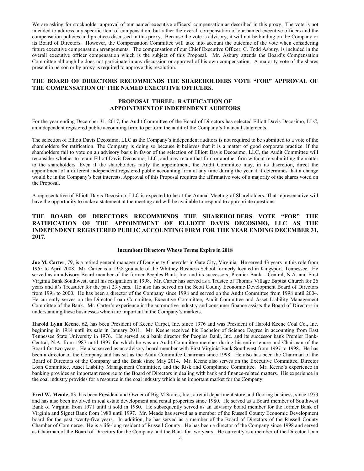We are asking for stockholder approval of our named executive officers' compensation as described in this proxy. The vote is not intended to address any specific item of compensation, but rather the overall compensation of our named executive officers and the compensation policies and practices discussed in this proxy. Because the vote is advisory, it will not be binding on the Company or its Board of Directors. However, the Compensation Committee will take into account the outcome of the vote when considering future executive compensation arrangements. The compensation of our Chief Executive Officer, C. Todd Asbury, is included in the overall executive officer compensation which is the subject of this Proposal. Mr. Asbury attends the Board's Compensation Committee although he does not participate in any discussion or approval of his own compensation. A majority vote of the shares present in person or by proxy is required to approve this resolution.

# **THE BOARD OF DIRECTORS RECOMMENDS THE SHAREHOLDERS VOTE "FOR" APPROVAL OF THE COMPENSATION OF THE NAMED EXECUTIVE OFFICERS.**

# **PROPOSAL THREE: RATIFICATION OF APPOINTMENTOF INDEPENDENT AUDITORS**

For the year ending December 31, 2017, the Audit Committee of the Board of Directors has selected Elliott Davis Decosimo, LLC, an independent registered public accounting firm, to perform the audit of the Company's financial statements.

The selection of Elliott Davis Decosimo, LLC as the Company's independent auditors is not required to be submitted to a vote of the shareholders for ratification. The Company is doing so because it believes that it is a matter of good corporate practice. If the shareholders fail to vote on an advisory basis in favor of the selection of Elliott Davis Decosimo, LLC, the Audit Committee will reconsider whether to retain Elliott Davis Decosimo, LLC, and may retain that firm or another firm without re-submitting the matter to the shareholders. Even if the shareholders ratify the appointment, the Audit Committee may, in its discretion, direct the appointment of a different independent registered public accounting firm at any time during the year if it determines that a change would be in the Company's best interests. Approval of this Proposal requires the affirmative vote of a majority of the shares voted on the Proposal.

A representative of Elliott Davis Decosimo, LLC is expected to be at the Annual Meeting of Shareholders. That representative will have the opportunity to make a statement at the meeting and will be available to respond to appropriate questions.

# **THE BOARD OF DIRECTORS RECOMMENDS THE SHAREHOLDERS VOTE "FOR" THE RATIFICATION OF THE APPOINTMENT OF ELLIOTT DAVIS DECOSIMO, LLC AS THE INDEPENDENT REGISTERED PUBLIC ACCOUNTING FIRM FOR THE YEAR ENDING DECEMBER 31, 2017.**

#### **Incumbent Directors Whose Terms Expire in 2018**

**Joe M. Carter**, 79, is a retired general manager of Daugherty Chevrolet in Gate City, Virginia. He served 43 years in this role from 1965 to April 2008. Mr. Carter is a 1958 graduate of the Whitney Business School formerly located in Kingsport, Tennessee. He served as an advisory Board member of the former Peoples Bank, Inc. and its successors, Premier Bank – Central, N.A. and First Virginia Bank Southwest, until his resignation in 1998. Mr. Carter has served as a Trustee of Thomas Village Baptist Church for 26 years and it's Treasurer for the past 23 years. He also has served on the Scott County Economic Development Board of Directors from 1998 to 2000. He has been a director of the Company since 1998 and served on the Audit Committee from 1998 until 2004. He currently serves on the Director Loan Committee, Executive Committee, Audit Committee and Asset Liability Management Committee of the Bank. Mr. Carter's experience in the automotive industry and consumer finance assists the Board of Directors in understanding these businesses which are important in the Company's markets.

**Harold Lynn Keene**, 62, has been President of Keene Carpet, Inc. since 1976 and was President of Harold Keene Coal Co., Inc. beginning in 1984 until its sale in January 2011. Mr. Keene received his Bachelor of Science Degree in accounting from East Tennessee State University in 1976. He served as a bank director for Peoples Bank, Inc. and its successor bank Premier Bank-Central, N.A. from 1987 until 1997 for which he was an Audit Committee member during his entire tenure and Chairman of the Board for two years. He also served as an advisory board member with First Virginia Bank Southwest from 1997 to 1998. He has been a director of the Company and has sat as the Audit Committee Chairman since 1998. He also has been the Chairman of the Board of Directors of the Company and the Bank since May 2014. Mr. Keene also serves on the Executive Committee, Director Loan Committee, Asset Liability Management Committee, and the Risk and Compliance Committee. Mr. Keene's experience in banking provides an important resource to the Board of Directors in dealing with bank and finance-related matters. His experience in the coal industry provides for a resource in the coal industry which is an important market for the Company.

**Fred W. Meade**, 83, has been President and Owner of Big M Stores, Inc., a retail department store and flooring business, since 1973 and has also been involved in real estate development and rental properties since 1980. He served as a Board member of Southwest Bank of Virginia from 1971 until it sold in 1980. He subsequently served as an advisory board member for the former Bank of Virginia and Signet Bank from 1980 until 1997. Mr. Meade has served as a member of the Russell County Economic Development board for the past twenty-five years. In addition, he has served as a member of the Board of Directors of the Russell County Chamber of Commerce. He is a life-long resident of Russell County. He has been a director of the Company since 1998 and served as Chairman of the Board of Directors for the Company and the Bank for two years. He currently is a member of the Director Loan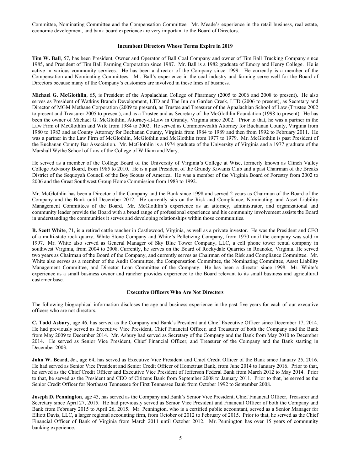Committee, Nominating Committee and the Compensation Committee. Mr. Meade's experience in the retail business, real estate, economic development, and bank board experience are very important to the Board of Directors.

## **Incumbent Directors Whose Terms Expire in 2019**

**Tim W. Ball**, 57, has been President, Owner and Operator of Ball Coal Company and owner of Tim Ball Trucking Company since 1985, and President of Tim Ball Farming Corporation since 1987. Mr. Ball is a 1982 graduate of Emory and Henry College. He is active in various community services. He has been a director of the Company since 1999. He currently is a member of the Compensation and Nominating Committees. Mr. Ball's experience in the coal industry and farming serve well for the Board of Directors because many of the Company's customers are involved in these lines of business.

**Michael G. McGlothlin**, 65, is President of the Appalachian College of Pharmacy (2005 to 2006 and 2008 to present). He also serves as President of Watkins Branch Development, LTD and The Inn on Garden Creek, LTD (2006 to present), as Secretary and Director of MGM Methane Corporation (2009 to present), as Trustee and Treasurer of the Appalachian School of Law (Trustee 2002 to present and Treasurer 2005 to present), and as a Trustee and as Secretary of the McGlothlin Foundation (1998 to present). He has been the owner of Michael G. McGlothlin, Attorney-at-Law in Grundy, Virginia since 2002. Prior to that, he was a partner in the Law Firm of McGlothlin and Wife from 1984 to 2002. He served as Commonwealth Attorney for Buchanan County, Virginia from 1980 to 1983 and as County Attorney for Buchanan County, Virginia from 1984 to 1989 and then from 1992 to February 2011. He was a partner in the Law Firm of McGlothlin, McGlothlin and McGlothlin from 1977 to 1979. Mr. McGlothlin is past President of the Buchanan County Bar Association. Mr. McGlothlin is a 1974 graduate of the University of Virginia and a 1977 graduate of the Marshall Wythe School of Law of the College of William and Mary.

He served as a member of the College Board of the University of Virginia's College at Wise, formerly known as Clinch Valley College Advisory Board, from 1985 to 2010. He is a past President of the Grundy Kiwanis Club and a past Chairman of the Breaks District of the Sequoyah Council of the Boy Scouts of America. He was a member of the Virginia Board of Forestry from 2002 to 2006 and the Great Southwest Group Home Commission from 1983 to 1992.

Mr. McGlothlin has been a Director of the Company and the Bank since 1998 and served 2 years as Chairman of the Board of the Company and the Bank until December 2012. He currently sits on the Risk and Compliance, Nominating, and Asset Liability Management Committees of the Board. Mr. McGlothlin's experience as an attorney, administrator, and organizational and community leader provide the Board with a broad range of professional experience and his community involvement assists the Board in understanding the communities it serves and developing relationships within those communities.

**B. Scott White**, 71, is a retired cattle rancher in Castlewood, Virginia, as well as a private investor. He was the President and CEO of a multi-state rock quarry, White Stone Company and White's Pelletizing Company, from 1970 until the company was sold in 1997. Mr. White also served as General Manager of Sky Blue Tower Company, LLC, a cell phone tower rental company in southwest Virginia, from 2004 to 2008. Currently, he serves on the Board of Rockydale Quarries in Roanoke, Virginia. He served two years as Chairman of the Board of the Company, and currently serves as Chairman of the Risk and Compliance Committee. Mr. White also serves as a member of the Audit Committee, the Compensation Committee, the Nominating Committee, Asset Liability Management Committee, and Director Loan Committee of the Company. He has been a director since 1998. Mr. White's experience as a small business owner and rancher provides experience to the Board relevant to its small business and agricultural customer base.

# **Executive Officers Who Are Not Directors**

The following biographical information discloses the age and business experience in the past five years for each of our executive officers who are not directors.

**C. Todd Asbury**, age 46, has served as the Company and Bank's President and Chief Executive Officer since December 17, 2014. He had previously served as Executive Vice President, Chief Financial Officer, and Treasurer of both the Company and the Bank from May 2009 to December 2014. Mr. Asbury had served as Secretary of the Company and the Bank from May 2010 to December 2014. He served as Senior Vice President, Chief Financial Officer, and Treasurer of the Company and the Bank starting in December 2003.

**John W. Beard, Jr.**, age 64, has served as Executive Vice President and Chief Credit Officer of the Bank since January 25, 2016. He had served as Senior Vice President and Senior Credit Officer of Hometrust Bank, from June 2014 to January 2016. Prior to that, he served as the Chief Credit Officer and Executive Vice President of Jefferson Federal Bank from March 2012 to May 2014. Prior to that, he served as the President and CEO of Citizens Bank from September 2008 to January 2011. Prior to that, he served as the Senior Credit Officer for Northeast Tennessee for First Tennessee Bank from October 1992 to September 2008.

**Joseph D. Pennington**, age 43, has served as the Company and Bank's Senior Vice President, Chief Financial Officer, Treasurer and Secretary since April 27, 2015. He had previously served as Senior Vice President and Financial Officer of both the Company and Bank from February 2015 to April 26, 2015. Mr. Pennington, who is a certified public accountant, served as a Senior Manager for Elliott Davis, LLC, a larger regional accounting firm, from October of 2012 to February of 2015. Prior to that, he served as the Chief Financial Officer of Bank of Virginia from March 2011 until October 2012. Mr. Pennington has over 15 years of community banking experience.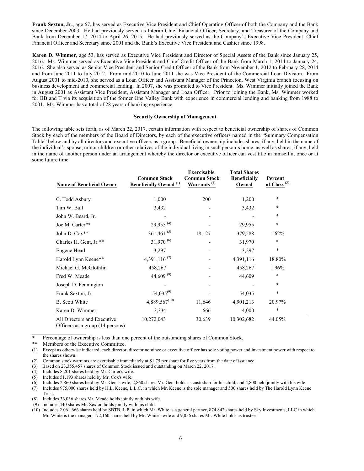**Frank Sexton, Jr.**, age 67, has served as Executive Vice President and Chief Operating Officer of both the Company and the Bank since December 2003. He had previously served as Interim Chief Financial Officer, Secretary, and Treasurer of the Company and Bank from December 17, 2014 to April 26, 2015. He had previously served as the Company's Executive Vice President, Chief Financial Officer and Secretary since 2001 and the Bank's Executive Vice President and Cashier since 1998.

**Karen D. Wimmer**, age 53, has served as Executive Vice President and Director of Special Assets of the Bank since January 25, 2016. Ms. Wimmer served as Executive Vice President and Chief Credit Officer of the Bank from March 1, 2014 to January 24, 2016. She also served as Senior Vice President and Senior Credit Officer of the Bank from November 1, 2012 to February 28, 2014 and from June 2011 to July 2012. From mid-2010 to June 2011 she was Vice President of the Commercial Loan Division. From August 2001 to mid-2010, she served as a Loan Officer and Assistant Manager of the Princeton, West Virginia branch focusing on business development and commercial lending. In 2007, she was promoted to Vice President. Ms. Wimmer initially joined the Bank in August 2001 as Assistant Vice President, Assistant Manager and Loan Officer. Prior to joining the Bank, Ms. Wimmer worked for BB and T via its acquisition of the former One Valley Bank with experience in commercial lending and banking from 1988 to 2001. Ms. Wimmer has a total of 28 years of banking experience.

# **Security Ownership of Management**

The following table sets forth, as of March 22, 2017, certain information with respect to beneficial ownership of shares of Common Stock by each of the members of the Board of Directors, by each of the executive officers named in the "Summary Compensation Table" below and by all directors and executive officers as a group. Beneficial ownership includes shares, if any, held in the name of the individual's spouse, minor children or other relatives of the individual living in such person's home, as well as shares, if any, held in the name of another person under an arrangement whereby the director or executive officer can vest title in himself at once or at some future time.

| <b>Name of Beneficial Owner</b> | <b>Common Stock</b><br><b>Beneficially Owned</b> <sup>(1)</sup> | <b>Exercisable</b><br><b>Common Stock</b><br>Warrants <sup>(2)</sup> | <b>Total Shares</b><br><b>Beneficially</b><br>Owned | Percent<br>of Class $(3)$ |  |
|---------------------------------|-----------------------------------------------------------------|----------------------------------------------------------------------|-----------------------------------------------------|---------------------------|--|
| C. Todd Asbury                  | 1,000                                                           | 200                                                                  | 1,200                                               | $\ast$                    |  |
| Tim W. Ball                     | 3,432                                                           |                                                                      | 3,432                                               | *                         |  |
| John W. Beard, Jr.              |                                                                 |                                                                      |                                                     | ÷                         |  |
| Joe M. Carter**                 | 29,955 <sup>(4)</sup>                                           |                                                                      | 29,955                                              | $\ast$                    |  |
| John D. Cox**                   | 361,461 $(5)$                                                   | 18,127                                                               | 379,588                                             | 1.62%                     |  |
| Charles H. Gent, Jr.**          | $31,970^{(6)}$                                                  |                                                                      | 31,970                                              | *                         |  |
| Eugene Hearl                    | 3,297                                                           |                                                                      | 3,297                                               | $\ast$                    |  |
| Harold Lynn Keene**             | 4,391,116 $(7)$                                                 |                                                                      | 4,391,116                                           | 18.80%                    |  |
| Michael G. McGlothlin           | 458,267                                                         |                                                                      | 458,267                                             | 1.96%                     |  |
| Fred W. Meade                   | 44,609 $(8)$                                                    |                                                                      | 44,609                                              | ¥                         |  |
| Joseph D. Pennington            |                                                                 |                                                                      |                                                     | *                         |  |
| Frank Sexton, Jr.               | $54,035^{(9)}$                                                  |                                                                      | 54,035                                              | $\ast$                    |  |
| <b>B.</b> Scott White           | $4,889,567^{(10)}$                                              | 11,646                                                               | 4,901,213                                           | 20.97%                    |  |
| Karen D. Wimmer                 | 3,334                                                           | 666                                                                  | 4,000                                               | *                         |  |
| All Directors and Executive     | 10,272,043                                                      | 30,639                                                               | 10,302,682                                          | 44.05%                    |  |

Officers as a group (14 persons)

Percentage of ownership is less than one percent of the outstanding shares of Common Stock.

\*\* Members of the Executive Committee.

 $\overline{a}$ 

(1) Except as otherwise indicated, each director, director nominee or executive officer has sole voting power and investment power with respect to the shares shown.

(2) Common stock warrants are exercisable immediately at \$1.75 per share for five years from the date of issuance.

(3) Based on 23,355,457 shares of Common Stock issued and outstanding on March 22, 2017.

(4) Includes 8,201 shares held by Mr. Carter's wife.

- (5) Includes 51,193 shares held by Mr. Cox's wife.
- (6) Includes 2,860 shares held by Mr. Gent's wife, 2,860 shares Mr. Gent holds as custodian for his child, and 4,800 held jointly with his wife.
- (7) Includes 975,000 shares held by H.L. Keene, L.L.C. in which Mr. Keene is the sole manager and 500 shares held by The Harold Lynn Keene Trust.

(9) Includes 440 shares Mr. Sexton holds jointly with his child.

Includes 36,036 shares Mr. Meade holds jointly with his wife.

<sup>(10)</sup> Includes 2,061,666 shares held by SBTB, L.P. in which Mr. White is a general partner, 874,842 shares held by Sky Investments, LLC in which Mr. White is the manager, 172,160 shares held by Mr. White's wife and 9,056 shares Mr. White holds as trustee.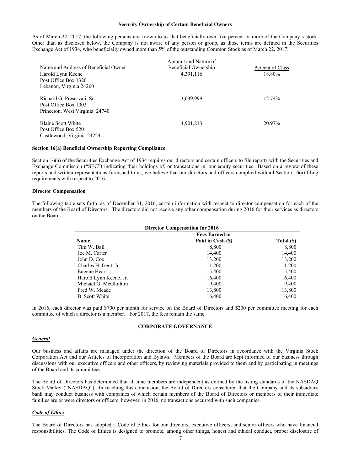#### **Security Ownership of Certain Beneficial Owners**

As of March 22, 2017, the following persons are known to us that beneficially own five percent or more of the Company's stock. Other than as disclosed below, the Company is not aware of any person or group, as those terms are defined in the Securities Exchange Act of 1934, who beneficially owned more than 5% of the outstanding Common Stock as of March 22, 2017.

|                                      | Amount and Nature of |                  |
|--------------------------------------|----------------------|------------------|
| Name and Address of Beneficial Owner | Beneficial Ownership | Percent of Class |
| Harold Lynn Keene                    | 4,391,116            | 18.80%           |
| Post Office Box 1320                 |                      |                  |
| Lebanon, Virginia 24260              |                      |                  |
| Richard G. Preservati, Sr.           | 3,039,999            | 12.74%           |
| Post Office Box 1003                 |                      |                  |
| Princeton, West Virginia 24740       |                      |                  |
| Blaine Scott White                   | 4,901,213            | 20.97%           |
| Post Office Box 520                  |                      |                  |
| Castlewood, Virginia 24224           |                      |                  |

# **Section 16(a) Beneficial Ownership Reporting Compliance**

Section 16(a) of the Securities Exchange Act of 1934 requires our directors and certain officers to file reports with the Securities and Exchange Commission ("SEC") indicating their holdings of, or transactions in, our equity securities. Based on a review of these reports and written representations furnished to us, we believe that our directors and officers complied with all Section 16(a) filing requirements with respect to 2016.

#### **Director Compensation**

The following table sets forth, as of December 31, 2016, certain information with respect to director compensation for each of the members of the Board of Directors. The directors did not receive any other compensation during 2016 for their services as directors on the Board.

| <b>Director Compensation for 2016</b> |                   |            |  |  |  |
|---------------------------------------|-------------------|------------|--|--|--|
| <b>Fees Earned or</b>                 |                   |            |  |  |  |
| <b>Name</b>                           | Paid in Cash (\$) | Total (\$) |  |  |  |
| Tim W. Ball                           | 8,800             | 8,800      |  |  |  |
| Joe M. Carter                         | 14,400            | 14,400     |  |  |  |
| John D. Cox                           | 13,200            | 13,200     |  |  |  |
| Charles H. Gent, Jr.                  | 11,200            | 11,200     |  |  |  |
| Eugene Hearl                          | 15,400            | 15,400     |  |  |  |
| Harold Lynn Keene, Jr.                | 16,400            | 16,400     |  |  |  |
| Michael G. McGlothlin                 | 9,400             | 9,400      |  |  |  |
| Fred W. Meade                         | 13,800            | 13,800     |  |  |  |
| B. Scott White                        | 16,400            | 16,400     |  |  |  |

In 2016, each director was paid \$700 per month for service on the Board of Directors and \$200 per committee meeting for each committee of which a director is a member. For 2017, the fees remain the same.

## **CORPORATE GOVERNANCE**

#### *General*

Our business and affairs are managed under the direction of the Board of Directors in accordance with the Virginia Stock Corporation Act and our Articles of Incorporation and Bylaws. Members of the Board are kept informed of our business through discussions with our executive officers and other officers, by reviewing materials provided to them and by participating in meetings of the Board and its committees.

The Board of Directors has determined that all nine members are independent as defined by the listing standards of the NASDAQ Stock Market ("NASDAQ"). In reaching this conclusion, the Board of Directors considered that the Company and its subsidiary bank may conduct business with companies of which certain members of the Board of Directors or members of their immediate families are or were directors or officers; however, in 2016, no transactions occurred with such companies.

#### *Code of Ethics*

The Board of Directors has adopted a Code of Ethics for our directors, executive officers, and senior officers who have financial responsibilities. The Code of Ethics is designed to promote, among other things, honest and ethical conduct, proper disclosure of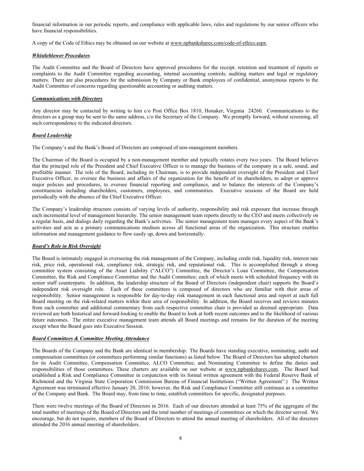financial information in our periodic reports, and compliance with applicable laws, rules and regulations by our senior officers who have financial responsibilities.

A copy of the Code of Ethics may be obtained on our website at www.npbankshares.com/code-of-ethics.aspx.

# *Whistleblower Procedures*

The Audit Committee and the Board of Directors have approved procedures for the receipt, retention and treatment of reports or complaints to the Audit Committee regarding accounting, internal accounting controls, auditing matters and legal or regulatory matters. There are also procedures for the submission by Company or Bank employees of confidential, anonymous reports to the Audit Committee of concerns regarding questionable accounting or auditing matters.

# *Communications with Directors*

Any director may be contacted by writing to him c/o Post Office Box 1810, Honaker, Virginia 24260. Communications to the directors as a group may be sent to the same address, c/o the Secretary of the Company. We promptly forward, without screening, all such correspondence to the indicated directors.

# *Board Leadership*

The Company's and the Bank's Board of Directors are composed of non-management members.

The Chairman of the Board is occupied by a non-management member and typically rotates every two years. The Board believes that the principal role of the President and Chief Executive Officer is to manage the business of the company in a safe, sound, and profitable manner. The role of the Board, including its Chairman, is to provide independent oversight of the President and Chief Executive Officer, to oversee the business and affairs of the organization for the benefit of its shareholders, to adopt or approve major policies and procedures, to oversee financial reporting and compliance, and to balance the interests of the Company's constituencies including shareholders, customers, employees, and communities. Executive sessions of the Board are held periodically with the absence of the Chief Executive Officer.

The Company's leadership structure consists of varying levels of authority, responsibility and risk exposure that increase through each incremental level of management hierarchy. The senior management team reports directly to the CEO and meets collectively on a regular basis, and dialogs daily regarding the Bank's activities. The senior management team manages every aspect of the Bank's activities and acts as a primary communications medium across all functional areas of the organization. This structure enables information and management guidance to flow easily up, down and horizontally.

# *Board's Role in Risk Oversight*

The Board is intimately engaged in overseeing the risk management of the Company, including credit risk, liquidity risk, interest rate risk, price risk, operational risk, compliance risk, strategic risk, and reputational risk. This is accomplished through a strong committee system consisting of the Asset Liability ("ALCO") Committee, the Director's Loan Committee, the Compensation Committee, the Risk and Compliance Committee and the Audit Committee; each of which meets with scheduled frequency with its senior staff counterparts. In addition, the leadership structure of the Board of Directors (independent chair) supports the Board's independent risk oversight role. Each of these committees is composed of directors who are familiar with their areas of responsibility. Senior management is responsible for day-to-day risk management in each functional area and report at each full Board meeting on the risk-related matters within their area of responsibility. In addition, the Board receives and reviews minutes from each committee and additional commentary from each respective committee chair is provided as deemed appropriate. Data reviewed are both historical and forward-looking to enable the Board to look at both recent outcomes and to the likelihood of various future outcomes. The entire executive management team attends all Board meetings and remains for the duration of the meeting except when the Board goes into Executive Session.

## *Board Committees & Committee Meeting Attendance*

The Boards of the Company and the Bank are identical in membership. The Boards have standing executive, nominating, audit and compensation committees (or committees performing similar functions) as listed below. The Board of Directors has adopted charters for its Audit Committee, Compensation Committee, ALCO Committee, and Nominating Committee to define the duties and responsibilities of those committees. These charters are available on our website at www.npbankshares.com. The Board had established a Risk and Compliance Committee in conjunction with its formal written agreement with the Federal Reserve Bank of Richmond and the Virginia State Corporation Commission Bureau of Financial Institutions ("Written Agreement".) The Written Agreement was terminated effective January 20, 2016; however, the Risk and Compliance Committee still continues as a committee of the Company and Bank. The Board may, from time to time, establish committees for specific, designated purposes.

There were twelve meetings of the Board of Directors in 2016. Each of our directors attended at least 75% of the aggregate of the total number of meetings of the Board of Directors and the total number of meetings of committees on which the director served. We encourage, but do not require, members of the Board of Directors to attend the annual meeting of shareholders. All of the directors attended the 2016 annual meeting of shareholders.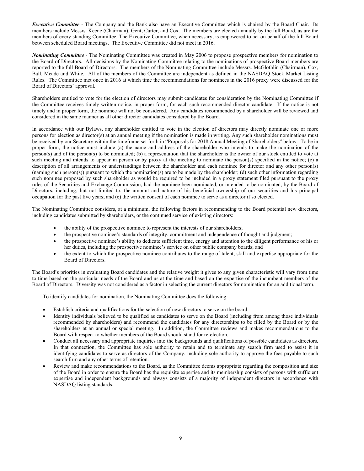*Executive Committee* - The Company and the Bank also have an Executive Committee which is chaired by the Board Chair. Its members include Messrs. Keene (Chairman), Gent, Carter, and Cox. The members are elected annually by the full Board, as are the members of every standing Committee. The Executive Committee, when necessary, is empowered to act on behalf of the full Board between scheduled Board meetings. The Executive Committee did not meet in 2016.

*Nominating Committee -* The Nominating Committee was created in May 2006 to propose prospective members for nomination to the Board of Directors. All decisions by the Nominating Committee relating to the nominations of prospective Board members are reported to the full Board of Directors. The members of the Nominating Committee include Messrs. McGlothlin (Chairman), Cox, Ball, Meade and White. All of the members of the Committee are independent as defined in the NASDAQ Stock Market Listing Rules. The Committee met once in 2016 at which time the recommendations for nominees in the 2016 proxy were discussed for the Board of Directors' approval.

Shareholders entitled to vote for the election of directors may submit candidates for consideration by the Nominating Committee if the Committee receives timely written notice, in proper form, for each such recommended director candidate. If the notice is not timely and in proper form, the nominee will not be considered. Any candidates recommended by a shareholder will be reviewed and considered in the same manner as all other director candidates considered by the Board.

In accordance with our Bylaws, any shareholder entitled to vote in the election of directors may directly nominate one or more persons for election as director(s) at an annual meeting if the nomination is made in writing. Any such shareholder nominations must be received by our Secretary within the timeframe set forth in "Proposals for 2018 Annual Meeting of Shareholders" below. To be in proper form, the notice must include (a) the name and address of the shareholder who intends to make the nomination of the person(s) and of the person(s) to be nominated; (b) a representation that the shareholder is the owner of our stock entitled to vote at such meeting and intends to appear in person or by proxy at the meeting to nominate the person(s) specified in the notice; (c) a description of all arrangements or understandings between the shareholder and each nominee for director and any other person(s) (naming such person(s)) pursuant to which the nomination(s) are to be made by the shareholder; (d) such other information regarding such nominee proposed by such shareholder as would be required to be included in a proxy statement filed pursuant to the proxy rules of the Securities and Exchange Commission, had the nominee been nominated, or intended to be nominated, by the Board of Directors, including, but not limited to, the amount and nature of his beneficial ownership of our securities and his principal occupation for the past five years; and (e) the written consent of each nominee to serve as a director if so elected.

The Nominating Committee considers, at a minimum, the following factors in recommending to the Board potential new directors, including candidates submitted by shareholders, or the continued service of existing directors:

- the ability of the prospective nominee to represent the interests of our shareholders;
- the prospective nominee's standards of integrity, commitment and independence of thought and judgment;
- the prospective nominee's ability to dedicate sufficient time, energy and attention to the diligent performance of his or her duties, including the prospective nominee's service on other public company boards; and
- the extent to which the prospective nominee contributes to the range of talent, skill and expertise appropriate for the Board of Directors.

The Board's priorities in evaluating Board candidates and the relative weight it gives to any given characteristic will vary from time to time based on the particular needs of the Board and us at the time and based on the expertise of the incumbent members of the Board of Directors. Diversity was not considered as a factor in selecting the current directors for nomination for an additional term.

To identify candidates for nomination, the Nominating Committee does the following:

- Establish criteria and qualifications for the selection of new directors to serve on the board.
- Identify individuals believed to be qualified as candidates to serve on the Board (including from among those individuals recommended by shareholders) and recommend the candidates for any directorships to be filled by the Board or by the shareholders at an annual or special meeting. In addition, the Committee reviews and makes recommendations to the Board with respect to whether members of the Board should stand for re-election.
- Conduct all necessary and appropriate inquiries into the backgrounds and qualifications of possible candidates as directors. In that connection, the Committee has sole authority to retain and to terminate any search firm used to assist it in identifying candidates to serve as directors of the Company, including sole authority to approve the fees payable to such search firm and any other terms of retention.
- Review and make recommendations to the Board, as the Committee deems appropriate regarding the composition and size of the Board in order to ensure the Board has the requisite expertise and its membership consists of persons with sufficient expertise and independent backgrounds and always consists of a majority of independent directors in accordance with NASDAQ listing standards.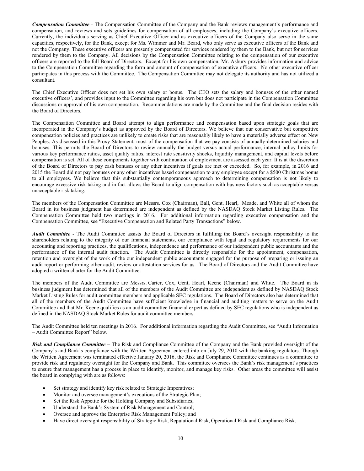*Compensation Committee -* The Compensation Committee of the Company and the Bank reviews management's performance and compensation, and reviews and sets guidelines for compensation of all employees, including the Company's executive officers. Currently, the individuals serving as Chief Executive Officer and as executive officers of the Company also serve in the same capacities, respectively, for the Bank, except for Ms. Wimmer and Mr. Beard, who only serve as executive officers of the Bank and not the Company. These executive officers are presently compensated for services rendered by them to the Bank, but not for services rendered by them to the Company. All decisions by the Compensation Committee relating to the compensation of our executive officers are reported to the full Board of Directors. Except for his own compensation, Mr. Asbury provides information and advice to the Compensation Committee regarding the form and amount of compensation of executive officers. No other executive officer participates in this process with the Committee. The Compensation Committee may not delegate its authority and has not utilized a consultant.

The Chief Executive Officer does not set his own salary or bonus. The CEO sets the salary and bonuses of the other named executive officers', and provides input to the Committee regarding his own but does not participate in the Compensation Committee discussions or approval of his own compensation. Recommendations are made by the Committee and the final decision resides with the Board of Directors.

The Compensation Committee and Board attempt to align performance and compensation based upon strategic goals that are incorporated in the Company's budget as approved by the Board of Directors. We believe that our conservative but competitive compensation policies and practices are unlikely to create risks that are reasonably likely to have a materially adverse effect on New Peoples. As discussed in this Proxy Statement, most of the compensation that we pay consists of annually-determined salaries and bonuses. This permits the Board of Directors to review annually the budget versus actual performance, internal policy limits for various key performance ratios, asset quality ratios, interest rate sensitivity shocks, liquidity management, and capital levels before compensation is set. All of these components together with continuation of employment are assessed each year. It is at the discretion of the Board of Directors to pay cash bonuses or any other incentives if goals are met or exceeded. So, for example, in 2016 and 2015 the Board did not pay bonuses or any other incentives based compensation to any employee except for a \$500 Christmas bonus to all employees. We believe that this substantially contemporaneous approach to determining compensation is not likely to encourage excessive risk taking and in fact allows the Board to align compensation with business factors such as acceptable versus unacceptable risk taking.

The members of the Compensation Committee are Messrs. Cox (Chairman), Ball, Gent, Hearl, Meade, and White all of whom the Board in its business judgment has determined are independent as defined by the NASDAQ Stock Market Listing Rules. The Compensation Committee held two meetings in 2016. For additional information regarding executive compensation and the Compensation Committee, see "Executive Compensation and Related Party Transactions" below.

*Audit Committee -* The Audit Committee assists the Board of Directors in fulfilling the Board's oversight responsibility to the shareholders relating to the integrity of our financial statements, our compliance with legal and regulatory requirements for our accounting and reporting practices, the qualifications, independence and performance of our independent public accountants and the performance of the internal audit function. The Audit Committee is directly responsible for the appointment, compensation, retention and oversight of the work of the our independent public accountants engaged for the purpose of preparing or issuing an audit report or performing other audit, review or attestation services for us. The Board of Directors and the Audit Committee have adopted a written charter for the Audit Committee.

The members of the Audit Committee are Messrs. Carter, Cox, Gent, Hearl, Keene (Chairman) and White. The Board in its business judgment has determined that all of the members of the Audit Committee are independent as defined by NASDAQ Stock Market Listing Rules for audit committee members and applicable SEC regulations. The Board of Directors also has determined that all of the members of the Audit Committee have sufficient knowledge in financial and auditing matters to serve on the Audit Committee and that Mr. Keene qualifies as an audit committee financial expert as defined by SEC regulations who is independent as defined in the NASDAQ Stock Market Rules for audit committee members.

The Audit Committee held ten meetings in 2016. For additional information regarding the Audit Committee, see "Audit Information – Audit Committee Report" below.

*Risk and Compliance Committee* – The Risk and Compliance Committee of the Company and the Bank provided oversight of the Company's and Bank's compliance with the Written Agreement entered into on July 29, 2010 with the banking regulators. Though the Written Agreement was terminated effective January 20, 2016, the Risk and Compliance Committee continues as a committee to provide risk and regulatory oversight for the Company and Bank. This committee oversees the Bank's risk management's practices to ensure that management has a process in place to identify, monitor, and manage key risks. Other areas the committee will assist the board in complying with are as follows:

- Set strategy and identify key risk related to Strategic Imperatives;
- Monitor and oversee management's executions of the Strategic Plan;
- Set the Risk Appetite for the Holding Company and Subsidiaries;
- Understand the Bank's System of Risk Management and Control;
- Oversee and approve the Enterprise Risk Management Policy; and
- Have direct oversight responsibility of Strategic Risk, Reputational Risk, Operational Risk and Compliance Risk.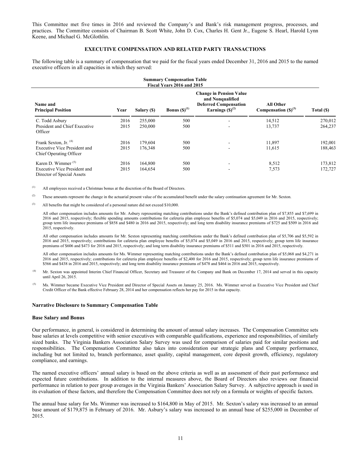This Committee met five times in 2016 and reviewed the Company's and Bank's risk management progress, processes, and practices. The Committee consists of Chairman B. Scott White, John D. Cox, Charles H. Gent Jr., Eugene S. Hearl, Harold Lynn Keene, and Michael G. McGlothlin.

# **EXECUTIVE COMPENSATION AND RELATED PARTY TRANSACTIONS**

The following table is a summary of compensation that we paid for the fiscal years ended December 31, 2016 and 2015 to the named executive officers in all capacities in which they served:

| <b>Summary Compensation Table</b><br>Fiscal Years 2016 and 2015                                    |              |                    |                   |                                                                                                            |                                              |                    |
|----------------------------------------------------------------------------------------------------|--------------|--------------------|-------------------|------------------------------------------------------------------------------------------------------------|----------------------------------------------|--------------------|
| Name and<br><b>Principal Position</b>                                                              | Year         | Salary (\$)        | Bonus $(S)^{(1)}$ | <b>Change in Pension Value</b><br>and Nonqualified<br><b>Deferred Compensation</b><br>Earnings $(S)^{(2)}$ | <b>All Other</b><br>Compensation $(S)^{(3)}$ | Total (\$)         |
| C. Todd Asbury<br>President and Chief Executive<br>Officer                                         | 2016<br>2015 | 255,000<br>250,000 | 500<br>500        | $\sim$<br>$\overline{\phantom{a}}$                                                                         | 14,512<br>13,737                             | 270,012<br>264,237 |
| Frank Sexton, Jr. <sup>(4)</sup><br><b>Executive Vice President and</b><br>Chief Operating Officer | 2016<br>2015 | 179,604<br>176,348 | 500<br>500        | $\blacksquare$<br>$\sim$                                                                                   | 11,897<br>11,615                             | 192,001<br>188,463 |
| Karen D. Wimmer $(5)$<br>Executive Vice President and<br>Director of Special Assets                | 2016<br>2015 | 164,800<br>164,654 | 500<br>500        | $\overline{\phantom{a}}$<br>$\blacksquare$                                                                 | 8,512<br>7,573                               | 173,812<br>172,727 |

(1) All employees received a Christmas bonus at the discretion of the Board of Directors.

<sup>(2)</sup> These amounts represent the change in the actuarial present value of the accumulated benefit under the salary continuation agreement for Mr. Sexton.

All benefits that might be considered of a personal nature did not exceed \$10,000.

All other compensation includes amounts for Mr. Asbury representing matching contributions under the Bank's defined contribution plan of \$7,855 and \$7,699 in 2016 and 2015, respectively; flexible spending amounts contributions for cafeteria plan employee benefits of \$5,074 and \$5,049 in 2016 and 2015, respectively; group term life insurance premiums of \$858 and \$480 in 2016 and 2015, respectively; and long term disability insurance premiums of \$725 and \$509 in 2016 and 2015, respectively.

All other compensation includes amounts for Mr. Sexton representing matching contributions under the Bank's defined contribution plan of \$5,706 and \$5,592 in 2016 and 2015, respectively; contributions for cafeteria plan employee benefits of \$5,074 and \$5,049 in 2016 and 2015, respectively; group term life insurance premiums of \$606 and \$473 for 2016 and 2015, respectively; and long term disability insurance premiums of \$511 and \$501 in 2016 and 2015, respectively.

All other compensation includes amounts for Ms. Wimmer representing matching contributions under the Bank's defined contribution plan of \$5,068 and \$4,271 in 2016 and 2015, respectively; contributions for cafeteria plan employee benefits of \$2,400 for 2016 and 2015, respectively; group term life insurance premiums of \$566 and \$438 in 2016 and 2015, respectively; and long term disability insurance premiums of \$478 and \$464 in 2016 and 2015, respectively.

- <sup>(4)</sup> Mr. Sexton was appointed Interim Chief Financial Officer, Secretary and Treasurer of the Company and Bank on December 17, 2014 and served in this capacity until April 26, 2015.
- <sup>(5)</sup> Ms. Wimmer became Executive Vice President and Director of Special Assets on January 25, 2016. Ms. Wimmer served as Executive Vice President and Chief Credit Officer of the Bank effective February 28, 2014 and her compensation reflects her pay for 2015 in that capacity.

## **Narrative Disclosure to Summary Compensation Table**

#### **Base Salary and Bonus**

Our performance, in general, is considered in determining the amount of annual salary increases. The Compensation Committee sets base salaries at levels competitive with senior executives with comparable qualifications, experience and responsibilities, of similarly sized banks. The Virginia Bankers Association Salary Survey was used for comparison of salaries paid for similar positions and responsibilities. The Compensation Committee also takes into consideration our strategic plans and Company performance, including but not limited to, branch performance, asset quality, capital management, core deposit growth, efficiency, regulatory compliance, and earnings.

The named executive officers' annual salary is based on the above criteria as well as an assessment of their past performance and expected future contributions. In addition to the internal measures above, the Board of Directors also reviews our financial performance in relation to peer group averages in the Virginia Bankers' Association Salary Survey. A subjective approach is used in its evaluation of these factors, and therefore the Compensation Committee does not rely on a formula or weights of specific factors.

The annual base salary for Ms. Wimmer was increased to \$164,800 in May of 2015. Mr. Sexton's salary was increased to an annual base amount of \$179,875 in February of 2016. Mr. Asbury's salary was increased to an annual base of \$255,000 in December of 2015.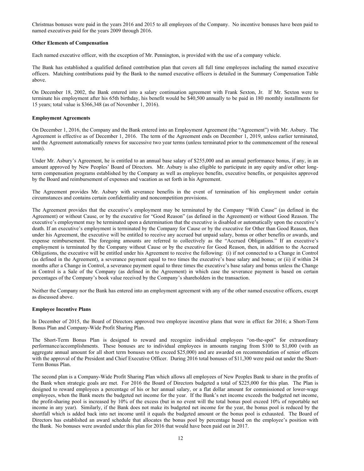Christmas bonuses were paid in the years 2016 and 2015 to all employees of the Company. No incentive bonuses have been paid to named executives paid for the years 2009 through 2016.

# **Other Elements of Compensation**

Each named executive officer, with the exception of Mr. Pennington, is provided with the use of a company vehicle.

The Bank has established a qualified defined contribution plan that covers all full time employees including the named executive officers. Matching contributions paid by the Bank to the named executive officers is detailed in the Summary Compensation Table above.

On December 18, 2002, the Bank entered into a salary continuation agreement with Frank Sexton, Jr. If Mr. Sexton were to terminate his employment after his 65th birthday, his benefit would be \$40,500 annually to be paid in 180 monthly installments for 15 years; total value is \$366,348 (as of November 1, 2016).

# **Employment Agreements**

On December 1, 2016, the Company and the Bank entered into an Employment Agreement (the "Agreement") with Mr. Asbury. The Agreement is effective as of December 1, 2016. The term of the Agreement ends on December 1, 2019, unless earlier terminated, and the Agreement automatically renews for successive two year terms (unless terminated prior to the commencement of the renewal term).

Under Mr. Asbury's Agreement, he is entitled to an annual base salary of \$255,000 and an annual performance bonus, if any, in an amount approved by New Peoples' Board of Directors. Mr. Asbury is also eligible to participate in any equity and/or other longterm compensation programs established by the Company as well as employee benefits, executive benefits, or perquisites approved by the Board and reimbursement of expenses and vacation as set forth in his Agreement.

The Agreement provides Mr. Asbury with severance benefits in the event of termination of his employment under certain circumstances and contains certain confidentiality and noncompetition provisions.

The Agreement provides that the executive's employment may be terminated by the Company "With Cause" (as defined in the Agreement) or without Cause, or by the executive for "Good Reason" (as defined in the Agreement) or without Good Reason. The executive's employment may be terminated upon a determination that the executive is disabled or automatically upon the executive's death. If an executive's employment is terminated by the Company for Cause or by the executive for Other than Good Reason, then under his Agreement, the executive will be entitled to receive any accrued but unpaid salary, bonus or other benefits or awards, and expense reimbursement. The foregoing amounts are referred to collectively as the "Accrued Obligations." If an executive's employment is terminated by the Company without Cause or by the executive for Good Reason, then, in addition to the Accrued Obligations, the executive will be entitled under his Agreement to receive the following: (i) if not connected to a Change in Control (as defined in the Agreement), a severance payment equal to two times the executive's base salary and bonus; or (ii) if within 24 months after a Change in Control, a severance payment equal to three times the executive's base salary and bonus unless the Change in Control is a Sale of the Company (as defined in the Agreement) in which case the severance payment is based on certain percentages of the Company's book value received by the Company's shareholders in the transaction.

Neither the Company nor the Bank has entered into an employment agreement with any of the other named executive officers, except as discussed above.

#### **Employee Incentive Plans**

In December of 2015, the Board of Directors approved two employee incentive plans that were in effect for 2016; a Short-Term Bonus Plan and Company-Wide Profit Sharing Plan.

The Short-Term Bonus Plan is designed to reward and recognize individual employees "on-the-spot" for extraordinary performance/accomplishments. These bonuses are to individual employees in amounts ranging from \$100 to \$1,000 (with an aggregate annual amount for all short term bonuses not to exceed \$25,000) and are awarded on recommendation of senior officers with the approval of the President and Chief Executive Officer. During 2016 total bonuses of \$11,300 were paid out under the Short-Term Bonus Plan.

The second plan is a Company-Wide Profit Sharing Plan which allows all employees of New Peoples Bank to share in the profits of the Bank when strategic goals are met. For 2016 the Board of Directors budgeted a total of \$225,000 for this plan. The Plan is designed to reward employees a percentage of his or her annual salary, or a flat dollar amount for commissioned or lower-wage employees, when the Bank meets the budgeted net income for the year. If the Bank's net income exceeds the budgeted net income, the profit-sharing pool is increased by 10% of the excess (but in no event will the total bonus pool exceed 10% of reportable net income in any year). Similarly, if the Bank does not make its budgeted net income for the year, the bonus pool is reduced by the shortfall which is added back into net income until it equals the budgeted amount or the bonus pool is exhausted. The Board of Directors has established an award schedule that allocates the bonus pool by percentage based on the employee's position with the Bank. No bonuses were awarded under this plan for 2016 that would have been paid out in 2017.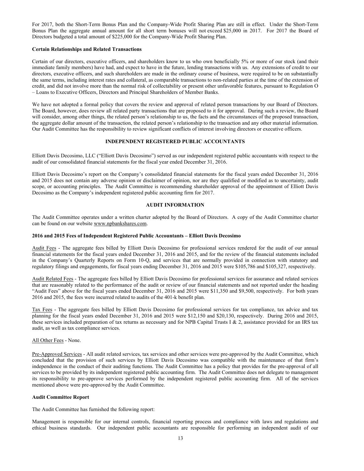For 2017, both the Short-Term Bonus Plan and the Company-Wide Profit Sharing Plan are still in effect. Under the Short-Term Bonus Plan the aggregate annual amount for all short term bonuses will not exceed \$25,000 in 2017. For 2017 the Board of Directors budgeted a total amount of \$225,000 for the Company-Wide Profit Sharing Plan.

# **Certain Relationships and Related Transactions**

Certain of our directors, executive officers, and shareholders know to us who own beneficially 5% or more of our stock (and their immediate family members) have had, and expect to have in the future, lending transactions with us. Any extensions of credit to our directors, executive officers, and such shareholders are made in the ordinary course of business, were required to be on substantially the same terms, including interest rates and collateral, as comparable transactions to non-related parties at the time of the extension of credit, and did not involve more than the normal risk of collectability or present other unfavorable features, pursuant to Regulation O – Loans to Executive Officers, Directors and Principal Shareholders of Member Banks.

We have not adopted a formal policy that covers the review and approval of related person transactions by our Board of Directors. The Board, however, does review all related party transactions that are proposed to it for approval. During such a review, the Board will consider, among other things, the related person's relationship to us, the facts and the circumstances of the proposed transaction, the aggregate dollar amount of the transaction, the related person's relationship to the transaction and any other material information. Our Audit Committee has the responsibility to review significant conflicts of interest involving directors or executive officers.

# **INDEPENDENT REGISTERED PUBLIC ACCOUNTANTS**

Elliott Davis Decosimo, LLC ("Elliott Davis Decosimo") served as our independent registered public accountants with respect to the audit of our consolidated financial statements for the fiscal year ended December 31, 2016.

Elliott Davis Decosimo's report on the Company's consolidated financial statements for the fiscal years ended December 31, 2016 and 2015 does not contain any adverse opinion or disclaimer of opinion, nor are they qualified or modified as to uncertainty, audit scope, or accounting principles. The Audit Committee is recommending shareholder approval of the appointment of Elliott Davis Decosimo as the Company's independent registered public accounting firm for 2017.

## **AUDIT INFORMATION**

The Audit Committee operates under a written charter adopted by the Board of Directors. A copy of the Audit Committee charter can be found on our website www.npbankshares.com.

## **2016 and 2015 Fees of Independent Registered Public Accountants – Elliott Davis Decosimo**

Audit Fees - The aggregate fees billed by Elliott Davis Decosimo for professional services rendered for the audit of our annual financial statements for the fiscal years ended December 31, 2016 and 2015, and for the review of the financial statements included in the Company's Quarterly Reports on Form 10-Q, and services that are normally provided in connection with statutory and regulatory filings and engagements, for fiscal years ending December 31, 2016 and 2015 were \$105,786 and \$105,327, respectively.

Audit Related Fees - The aggregate fees billed by Elliott Davis Decosimo for professional services for assurance and related services that are reasonably related to the performance of the audit or review of our financial statements and not reported under the heading "Audit Fees" above for the fiscal years ended December 31, 2016 and 2015 were \$11,350 and \$9,500, respectively. For both years 2016 and 2015, the fees were incurred related to audits of the 401-k benefit plan.

Tax Fees - The aggregate fees billed by Elliott Davis Decosimo for professional services for tax compliance, tax advice and tax planning for the fiscal years ended December 31, 2016 and 2015 were \$12,150 and \$20,130, respectively. During 2016 and 2015, these services included preparation of tax returns as necessary and for NPB Capital Trusts I & 2, assistance provided for an IRS tax audit, as well as tax compliance services.

## All Other Fees - None.

Pre-Approved Services - All audit related services, tax services and other services were pre-approved by the Audit Committee, which concluded that the provision of such services by Elliott Davis Decosimo was compatible with the maintenance of that firm's independence in the conduct of their auditing functions. The Audit Committee has a policy that provides for the pre-approval of all services to be provided by its independent registered public accounting firm. The Audit Committee does not delegate to management its responsibility to pre-approve services performed by the independent registered public accounting firm. All of the services mentioned above were pre-approved by the Audit Committee.

## **Audit Committee Report**

The Audit Committee has furnished the following report:

Management is responsible for our internal controls, financial reporting process and compliance with laws and regulations and ethical business standards. Our independent public accountants are responsible for performing an independent audit of our